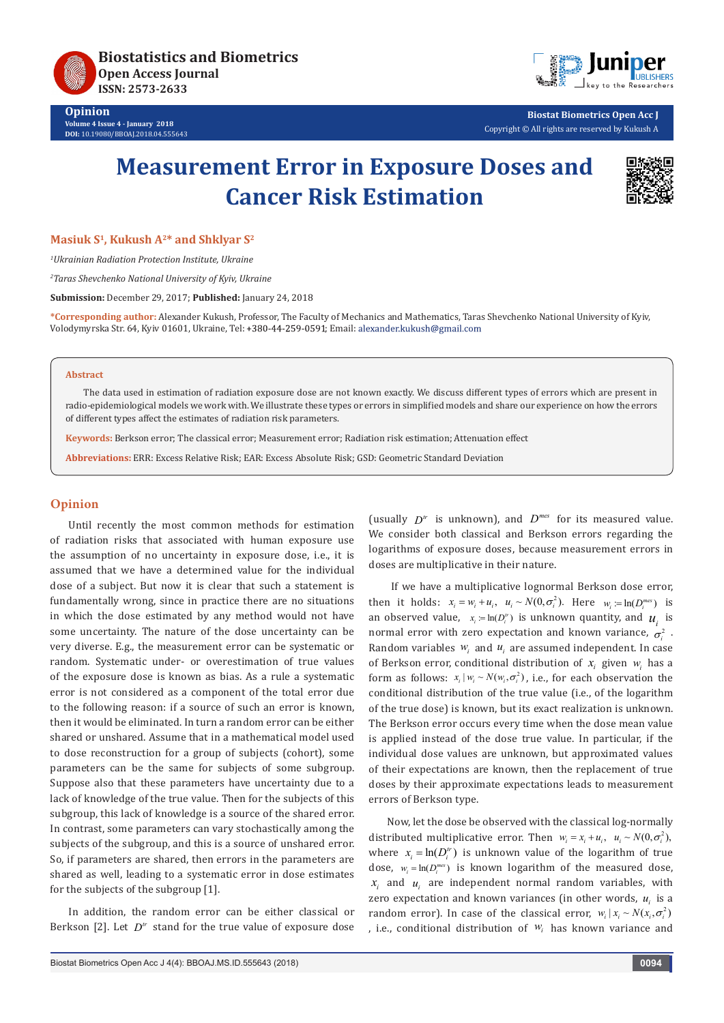



**Biostat Biometrics Open Acc J** Copyright © All rights are reserved by Kukush A

# **Measurement Error in Exposure Doses and Cancer Risk Estimation**



**Masiuk S1, Kukush A2\* and Shklyar S2**

*1 Ukrainian Radiation Protection Institute, Ukraine*

*2 Taras Shevchenko National University of Kyiv, Ukraine*

**Submission:** December 29, 2017; **Published:** January 24, 2018

**\*Corresponding author:** Alexander Kukush, Professor, The Faculty of Mechanics and Mathematics, Taras Shevchenko National University of Kyiv, Volodymyrska Str. 64, Kyiv 01601, Ukraine, Tel: +380-44-259-0591; Email: alexander.kukush@gmail.com

### **Abstract**

The data used in estimation of radiation exposure dose are not known exactly. We discuss different types of errors which are present in radio-epidemiological models we work with. We illustrate these types or errors in simplified models and share our experience on how the errors of different types affect the estimates of radiation risk parameters.

**Keywords:** Berkson error; The classical error; Measurement error; Radiation risk estimation; Attenuation effect

**Abbreviations:** ERR: Excess Relative Risk; EAR: Excess Absolute Risk; GSD: Geometric Standard Deviation

## **Opinion**

Until recently the most common methods for estimation of radiation risks that associated with human exposure use the assumption of no uncertainty in exposure dose, i.e., it is assumed that we have a determined value for the individual dose of a subject. But now it is clear that such a statement is fundamentally wrong, since in practice there are no situations in which the dose estimated by any method would not have some uncertainty. The nature of the dose uncertainty can be very diverse. E.g., the measurement error can be systematic or random. Systematic under- or overestimation of true values of the exposure dose is known as bias. As a rule a systematic error is not considered as a component of the total error due to the following reason: if a source of such an error is known, then it would be eliminated. In turn a random error can be either shared or unshared. Assume that in a mathematical model used to dose reconstruction for a group of subjects (cohort), some parameters can be the same for subjects of some subgroup. Suppose also that these parameters have uncertainty due to a lack of knowledge of the true value. Then for the subjects of this subgroup, this lack of knowledge is a source of the shared error. In contrast, some parameters can vary stochastically among the subjects of the subgroup, and this is a source of unshared error. So, if parameters are shared, then errors in the parameters are shared as well, leading to a systematic error in dose estimates for the subjects of the subgroup [1].

In addition, the random error can be either classical or Berkson [2]. Let  $D^{\prime\prime}$  stand for the true value of exposure dose

(usually  $D^r$  is unknown), and  $D^{mes}$  for its measured value. We consider both classical and Berkson errors regarding the logarithms of exposure doses, because measurement errors in doses are multiplicative in their nature.

 If we have a multiplicative lognormal Berkson dose error, then it holds:  $x_i = w_i + u_i$ ,  $u_i \sim N(0, \sigma_i^2)$ . Here  $w_i := \ln(D_i^{mes})$  is an observed value,  $x_i = \ln(D_i^r)$  is unknown quantity, and  $u_i$  is normal error with zero expectation and known variance,  $\sigma^2$ . Random variables  $w_i$  and  $u_i$  are assumed independent. In case of Berkson error, conditional distribution of  $x_i$  given  $w_i$  has a form as follows:  $x_i | w_i \sim N(w_i, \sigma_i^2)$ , i.e., for each observation the conditional distribution of the true value (i.e., of the logarithm of the true dose) is known, but its exact realization is unknown. The Berkson error occurs every time when the dose mean value is applied instead of the dose true value. In particular, if the individual dose values are unknown, but approximated values of their expectations are known, then the replacement of true doses by their approximate expectations leads to measurement errors of Berkson type.

Now, let the dose be observed with the classical log-normally distributed multiplicative error. Then  $w_i = x_i + u_i, u_i \sim N(0, \sigma_i^2)$ , where  $x_i = \ln(D_i^b)$  is unknown value of the logarithm of true dose,  $w_i = \ln(D_i^{mes})$  is known logarithm of the measured dose,  $x_i$  and  $u_i$  are independent normal random variables, with zero expectation and known variances (in other words,  $u_i$  is a random error). In case of the classical error,  $w_i | x_i \sim N(x_i, \sigma_i^2)$ , i.e., conditional distribution of *wi* has known variance and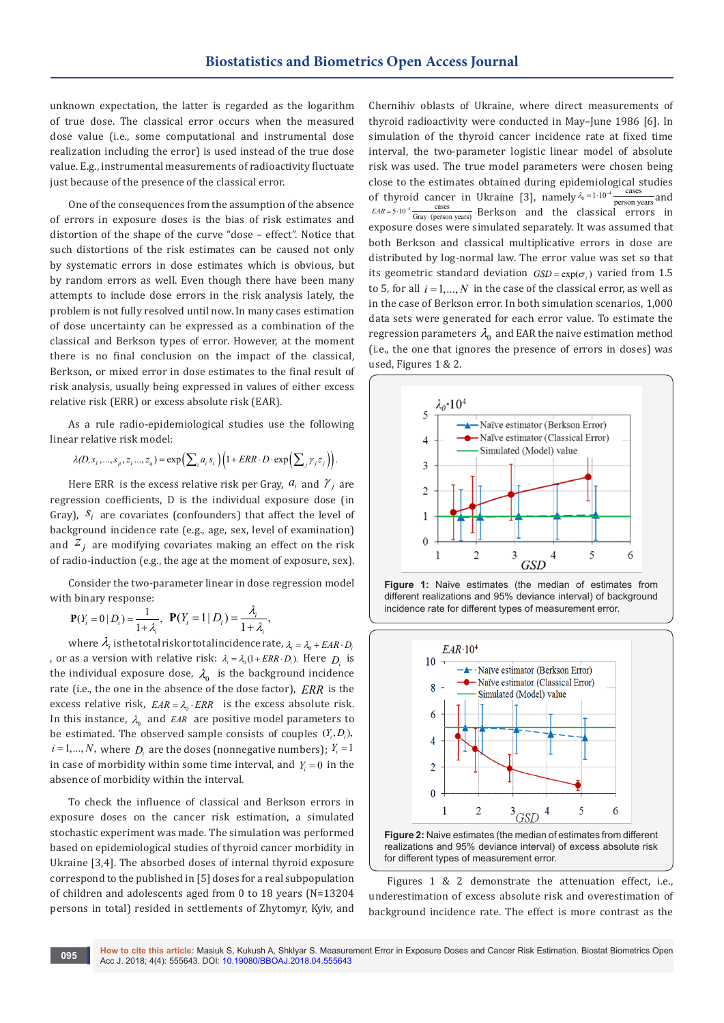unknown expectation, the latter is regarded as the logarithm of true dose. The classical error occurs when the measured dose value (i.e., some computational and instrumental dose realization including the error) is used instead of the true dose value. E.g., instrumental measurements of radioactivity fluctuate just because of the presence of the classical error.

One of the consequences from the assumption of the absence of errors in exposure doses is the bias of risk estimates and distortion of the shape of the curve "dose – effect". Notice that such distortions of the risk estimates can be caused not only by systematic errors in dose estimates which is obvious, but by random errors as well. Even though there have been many attempts to include dose errors in the risk analysis lately, the problem is not fully resolved until now. In many cases estimation of dose uncertainty can be expressed as a combination of the classical and Berkson types of error. However, at the moment there is no final conclusion on the impact of the classical, Berkson, or mixed error in dose estimates to the final result of risk analysis, usually being expressed in values of either excess relative risk (ERR) or excess absolute risk (EAR).

As a rule radio-epidemiological studies use the following linear relative risk model:

 $\lambda(D, s_1, ..., s_p, z_1, ..., z_q) = \exp\left(\sum_i a_i s_i\right) \left(1 + ERR \cdot D \cdot \exp\left(\sum_j \gamma_j z_j\right)\right).$ 

Here ERR is the excess relative risk per Gray,  $a_i$  and  $\gamma_j$  are regression coefficients, D is the individual exposure dose (in Gray),  $S_i$  are covariates (confounders) that affect the level of background incidence rate (e.g., age, sex, level of examination) and  $Z_j$  are modifying covariates making an effect on the risk of radio-induction (e.g., the age at the moment of exposure, sex).

Consider the two-parameter linear in dose regression model with binary response:

$$
\mathbf{P}(Y_i = 0 | D_i) = \frac{1}{1 + \lambda_i}, \ \ \mathbf{P}(Y_i = 1 | D_i) = \frac{\lambda_i}{1 + \lambda_i},
$$

where  $\lambda_i$  is the total risk or total incidence rate,  $\lambda_i = \lambda_0 + EAR \cdot D_i$ , or as a version with relative risk:  $\lambda_i = \lambda_0 (1 + ERR \cdot D_i)$ . Here  $D_i$  is the individual exposure dose,  $\lambda_0$  is the background incidence rate (i.e., the one in the absence of the dose factor), *ERR* is the excess relative risk,  $EAR = \lambda_0 \cdot ERR$  is the excess absolute risk. In this instance,  $\lambda_0$  and *EAR* are positive model parameters to be estimated. The observed sample consists of couples  $(Y_i, D_i)$ ,  $i = 1, ..., N$ , where *D<sub>i</sub>* are the doses (nonnegative numbers);  $Y_i = 1$ in case of morbidity within some time interval, and  $Y_i = 0$  in the absence of morbidity within the interval.

To check the influence of classical and Berkson errors in exposure doses on the cancer risk estimation, a simulated stochastic experiment was made. The simulation was performed based on epidemiological studies of thyroid cancer morbidity in Ukraine [3,4]. The absorbed doses of internal thyroid exposure correspond to the published in [5] doses for a real subpopulation of children and adolescents aged from 0 to 18 years (N=13204 persons in total) resided in settlements of Zhytomyr, Kyiv, and

Chernihiv oblasts of Ukraine, where direct measurements of thyroid radioactivity were conducted in May–June 1986 [6]. In simulation of the thyroid cancer incidence rate at fixed time interval, the two-parameter logistic linear model of absolute risk was used. The true model parameters were chosen being close to the estimates obtained during epidemiological studies of thyroid cancer in Ukraine [3], namely  $\lambda_0 = 1 \cdot 10^{-4} \frac{\text{cases}}{\text{person years}}$  and  $EAR = 5 \cdot 10^{-4}$  Cases cases and the classical errors in exposure doses were simulated separately. It was assumed that both Berkson and classical multiplicative errors in dose are distributed by log-normal law. The error value was set so that its geometric standard deviation  $GSD = \exp(\sigma_i)$  varied from 1.5 to 5, for all  $i = 1, ..., N$  in the case of the classical error, as well as in the case of Berkson error. In both simulation scenarios, 1,000 data sets were generated for each error value. To estimate the regression parameters  $\lambda_0$  and EAR the naive estimation method (i.e., the one that ignores the presence of errors in doses) was used, Figures 1 & 2.







Figures 1 & 2 demonstrate the attenuation effect, i.e., underestimation of excess absolute risk and overestimation of background incidence rate. The effect is more contrast as the